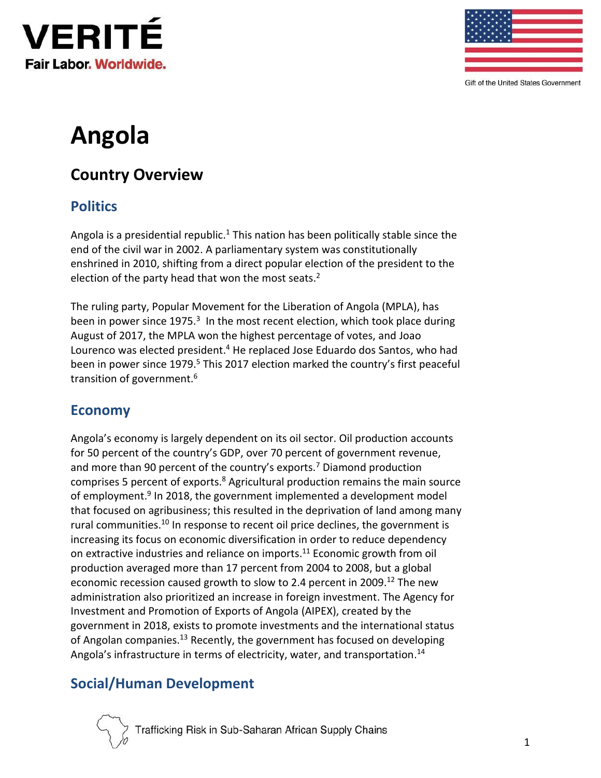



Gift of the United States Government

# **Angola**

# **Country Overview**

# **Politics**

Angola is a presidential republic.<sup>1</sup> This nation has been politically stable since the end of the civil war in 2002. A parliamentary system was constitutionally enshrined in 2010, shifting from a direct popular election of the president to the election of the party head that won the most seats.<sup>2</sup>

The ruling party, Popular Movement for the Liberation of Angola (MPLA), has been in power since 1975.<sup>3</sup> In the most recent election, which took place during August of 2017, the MPLA won the highest percentage of votes, and Joao Lourenco was elected president.<sup>4</sup> He replaced Jose Eduardo dos Santos, who had been in power since 1979.<sup>5</sup> This 2017 election marked the country's first peaceful transition of government.<sup>6</sup>

#### **Economy**

Angola's economy is largely dependent on its oil sector. Oil production accounts for 50 percent of the country's GDP, over 70 percent of government revenue, and more than 90 percent of the country's exports.<sup>7</sup> Diamond production comprises 5 percent of exports.<sup>8</sup> Agricultural production remains the main source of employment.<sup>9</sup> In 2018, the government implemented a development model that focused on agribusiness; this resulted in the deprivation of land among many rural communities.<sup>10</sup> In response to recent oil price declines, the government is increasing its focus on economic diversification in order to reduce dependency on extractive industries and reliance on imports.<sup>11</sup> Economic growth from oil production averaged more than 17 percent from 2004 to 2008, but a global economic recession caused growth to slow to 2.4 percent in 2009.<sup>12</sup> The new administration also prioritized an increase in foreign investment. The Agency for Investment and Promotion of Exports of Angola (AIPEX), created by the government in 2018, exists to promote investments and the international status of Angolan companies.<sup>13</sup> Recently, the government has focused on developing Angola's infrastructure in terms of electricity, water, and transportation.<sup>14</sup>

# **Social/Human Development**

Trafficking Risk in Sub-Saharan African Supply Chains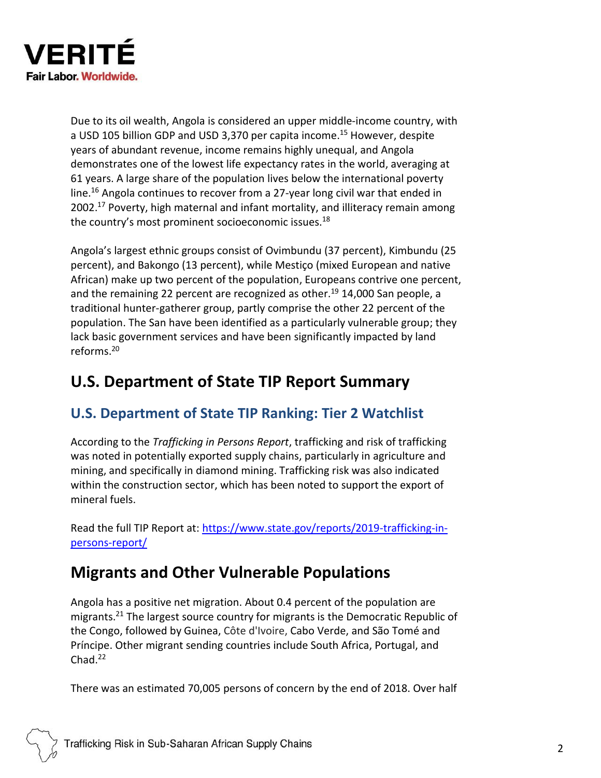

Due to its oil wealth, Angola is considered an upper middle-income country, with a USD 105 billion GDP and USD 3,370 per capita income.<sup>15</sup> However, despite years of abundant revenue, income remains highly unequal, and Angola demonstrates one of the lowest life expectancy rates in the world, averaging at 61 years. A large share of the population lives below the international poverty line.<sup>16</sup> Angola continues to recover from a 27-year long civil war that ended in 2002.<sup>17</sup> Poverty, high maternal and infant mortality, and illiteracy remain among the country's most prominent socioeconomic issues.<sup>18</sup>

Angola's largest ethnic groups consist of Ovimbundu (37 percent), Kimbundu (25 percent), and Bakongo (13 percent), while Mestiço (mixed European and native African) make up two percent of the population, Europeans contrive one percent, and the remaining 22 percent are recognized as other.<sup>19</sup> 14,000 San people, a traditional hunter-gatherer group, partly comprise the other 22 percent of the population. The San have been identified as a particularly vulnerable group; they lack basic government services and have been significantly impacted by land reforms. 20

# **U.S. Department of State TIP Report Summary**

# **U.S. Department of State TIP Ranking: Tier 2 Watchlist**

According to the *Trafficking in Persons Report*, trafficking and risk of trafficking was noted in potentially exported supply chains, particularly in agriculture and mining, and specifically in diamond mining. Trafficking risk was also indicated within the construction sector, which has been noted to support the export of mineral fuels.

Read the full TIP Report at: [https://www.state.gov/reports/2019-trafficking-in](https://www.state.gov/reports/2019-trafficking-in-persons-report/)[persons-report/](https://www.state.gov/reports/2019-trafficking-in-persons-report/)

# **Migrants and Other Vulnerable Populations**

Angola has a positive net migration. About 0.4 percent of the population are migrants.<sup>21</sup> The largest source country for migrants is the Democratic Republic of the Congo, followed by Guinea, Côte d'Ivoire, Cabo Verde, and São Tomé and Príncipe. Other migrant sending countries include South Africa, Portugal, and  $Chad.<sup>22</sup>$ 

There was an estimated 70,005 persons of concern by the end of 2018. Over half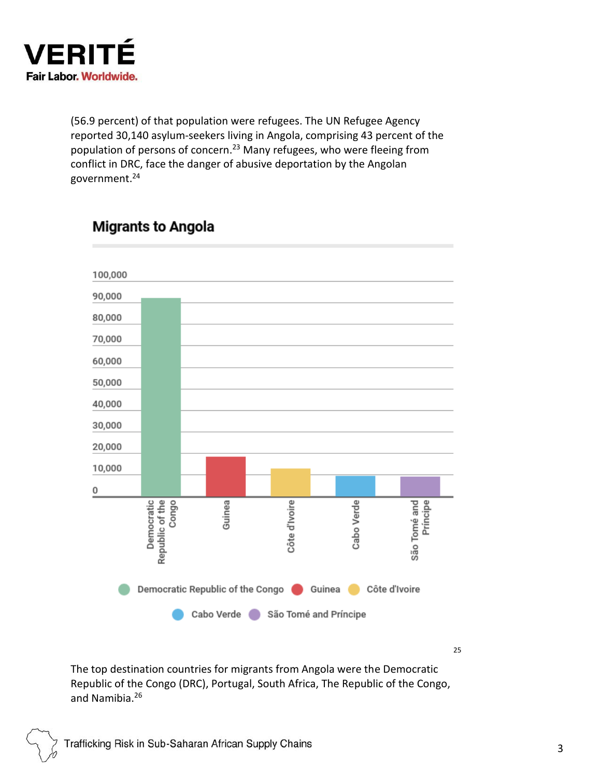

(56.9 percent) of that population were refugees. The UN Refugee Agency reported 30,140 asylum-seekers living in Angola, comprising 43 percent of the population of persons of concern.<sup>23</sup> Many refugees, who were fleeing from conflict in DRC, face the danger of abusive deportation by the Angolan government. 24

# 100,000 90,000 80,000 70,000 60,000 50,000 40,000 30,000 20,000 10,000 0 Democratic<br>Republic of the São Tomé and Congo Côte d'Ivoire Cabo Verde Guinea Democratic Republic of the Congo Couinea Cocôte d'Ivoire Cabo Verde São Tomé and Príncipe

# **Migrants to Angola**

25

The top destination countries for migrants from Angola were the Democratic Republic of the Congo (DRC), Portugal, South Africa, The Republic of the Congo, and Namibia. 26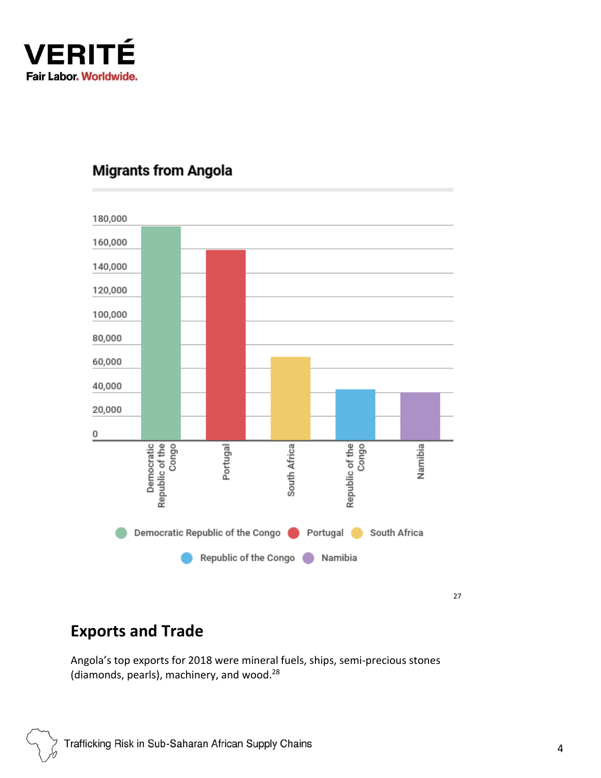

# **Migrants from Angola**



27

# **Exports and Trade**

Angola's top exports for 2018 were mineral fuels, ships, semi-precious stones (diamonds, pearls), machinery, and wood.<sup>28</sup>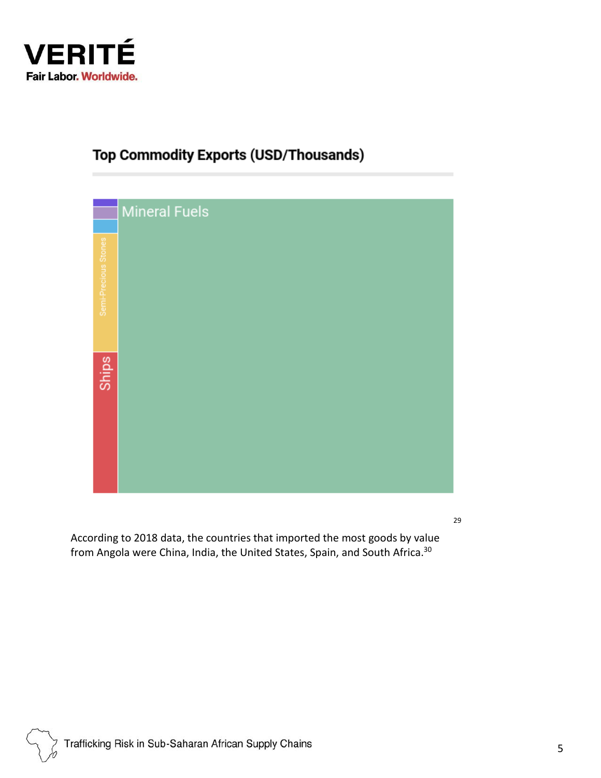

# **Top Commodity Exports (USD/Thousands)**



29

According to 2018 data, the countries that imported the most goods by value from Angola were China, India, the United States, Spain, and South Africa. 30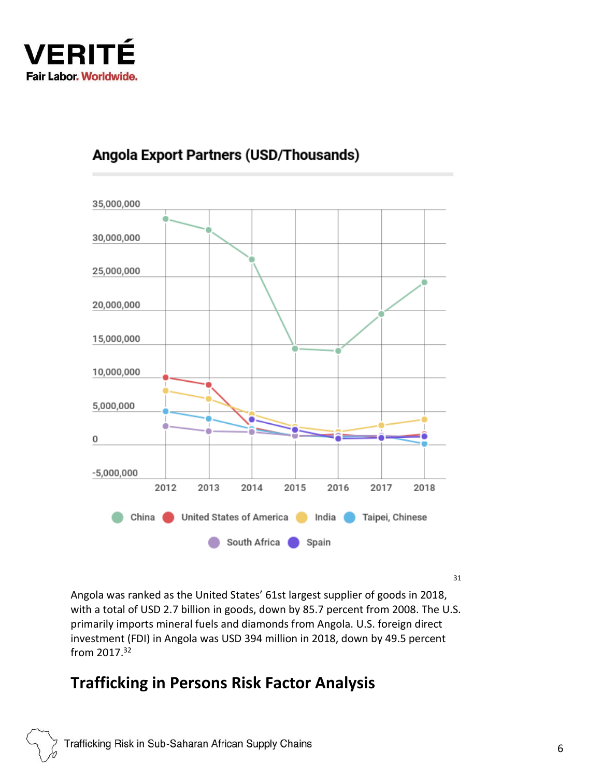

# 35,000,000 30,000,000 25,000,000 20,000,000 15,000,000 10,000,000 5,000,000 0  $-5,000,000$ 2012 2013 2014 2015 2016 2017 2018 China United States of America India  $\bullet$ Taipei, Chinese South Africa  $\Box$  Spain

# Angola Export Partners (USD/Thousands)

31

Angola was ranked as the United States' 61st largest supplier of goods in 2018, with a total of USD 2.7 billion in goods, down by 85.7 percent from 2008. The U.S. primarily imports mineral fuels and diamonds from Angola. U.S. foreign direct investment (FDI) in Angola was USD 394 million in 2018, down by 49.5 percent from 2017. 32

# **Trafficking in Persons Risk Factor Analysis**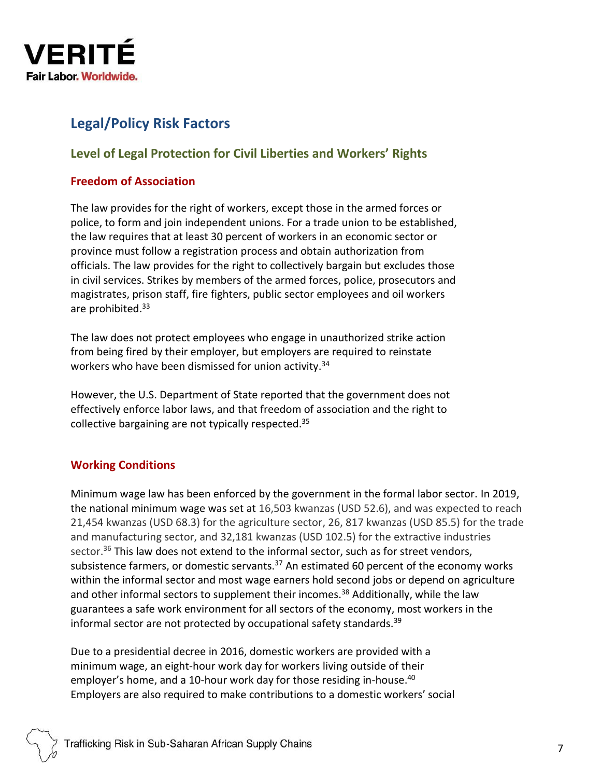

### **Legal/Policy Risk Factors**

#### **Level of Legal Protection for Civil Liberties and Workers' Rights**

#### **Freedom of Association**

The law provides for the right of workers, except those in the armed forces or police, to form and join independent unions. For a trade union to be established, the law requires that at least 30 percent of workers in an economic sector or province must follow a registration process and obtain authorization from officials. The law provides for the right to collectively bargain but excludes those in civil services. Strikes by members of the armed forces, police, prosecutors and magistrates, prison staff, fire fighters, public sector employees and oil workers are prohibited.<sup>33</sup>

The law does not protect employees who engage in unauthorized strike action from being fired by their employer, but employers are required to reinstate workers who have been dismissed for union activity.<sup>34</sup>

However, the U.S. Department of State reported that the government does not effectively enforce labor laws, and that freedom of association and the right to collective bargaining are not typically respected.<sup>35</sup>

#### **Working Conditions**

Minimum wage law has been enforced by the government in the formal labor sector. In 2019, the national minimum wage was set at 16,503 kwanzas (USD 52.6), and was expected to reach 21,454 kwanzas (USD 68.3) for the agriculture sector, 26, 817 kwanzas (USD 85.5) for the trade and manufacturing sector, and 32,181 kwanzas (USD 102.5) for the extractive industries sector. $36$  This law does not extend to the informal sector, such as for street vendors, subsistence farmers, or domestic servants. $37$  An estimated 60 percent of the economy works within the informal sector and most wage earners hold second jobs or depend on agriculture and other informal sectors to supplement their incomes.<sup>38</sup> Additionally, while the law guarantees a safe work environment for all sectors of the economy, most workers in the informal sector are not protected by occupational safety standards.<sup>39</sup>

Due to a presidential decree in 2016, domestic workers are provided with a minimum wage, an eight-hour work day for workers living outside of their employer's home, and a 10-hour work day for those residing in-house.<sup>40</sup> Employers are also required to make contributions to a domestic workers' social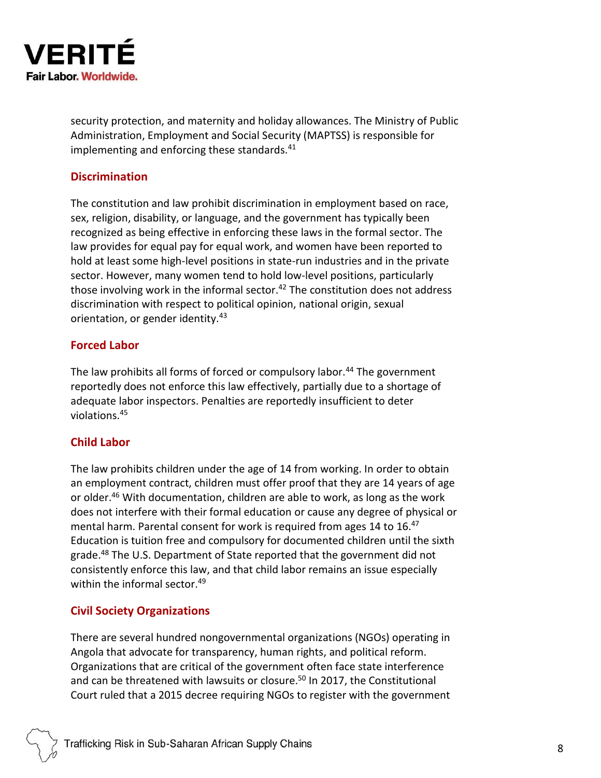

security protection, and maternity and holiday allowances. The Ministry of Public Administration, Employment and Social Security (MAPTSS) is responsible for implementing and enforcing these standards.<sup>41</sup>

#### **Discrimination**

The constitution and law prohibit discrimination in employment based on race, sex, religion, disability, or language, and the government has typically been recognized as being effective in enforcing these laws in the formal sector. The law provides for equal pay for equal work, and women have been reported to hold at least some high-level positions in state-run industries and in the private sector. However, many women tend to hold low-level positions, particularly those involving work in the informal sector. $42$  The constitution does not address discrimination with respect to political opinion, national origin, sexual orientation, or gender identity.<sup>43</sup>

#### **Forced Labor**

The law prohibits all forms of forced or compulsory labor.<sup>44</sup> The government reportedly does not enforce this law effectively, partially due to a shortage of adequate labor inspectors. Penalties are reportedly insufficient to deter violations.<sup>45</sup>

#### **Child Labor**

The law prohibits children under the age of 14 from working. In order to obtain an employment contract, children must offer proof that they are 14 years of age or older.<sup>46</sup> With documentation, children are able to work, as long as the work does not interfere with their formal education or cause any degree of physical or mental harm. Parental consent for work is required from ages 14 to 16.47 Education is tuition free and compulsory for documented children until the sixth grade.<sup>48</sup> The U.S. Department of State reported that the government did not consistently enforce this law, and that child labor remains an issue especially within the informal sector. 49

#### **Civil Society Organizations**

There are several hundred nongovernmental organizations (NGOs) operating in Angola that advocate for transparency, human rights, and political reform. Organizations that are critical of the government often face state interference and can be threatened with lawsuits or closure.<sup>50</sup> In 2017, the Constitutional Court ruled that a 2015 decree requiring NGOs to register with the government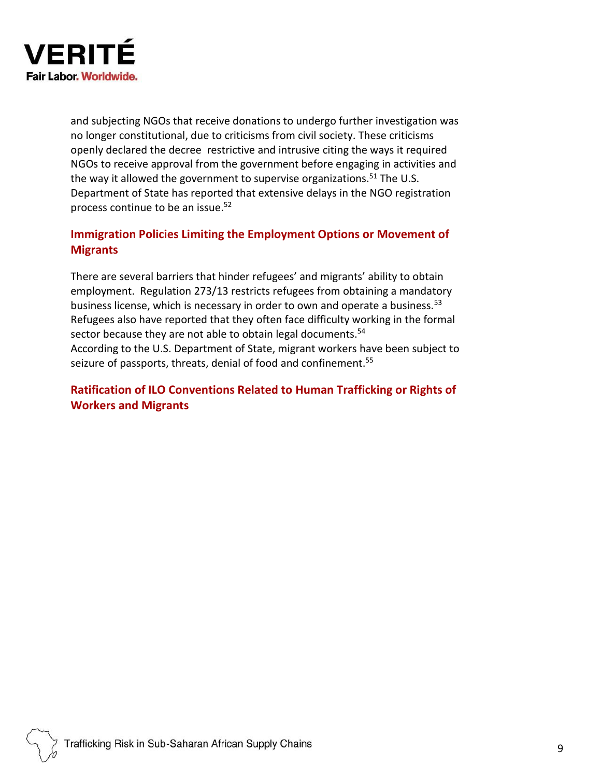

and subjecting NGOs that receive donations to undergo further investigation was no longer constitutional, due to criticisms from civil society. These criticisms openly declared the decree restrictive and intrusive citing the ways it required NGOs to receive approval from the government before engaging in activities and the way it allowed the government to supervise organizations.<sup>51</sup> The U.S. Department of State has reported that extensive delays in the NGO registration process continue to be an issue. 52

#### **Immigration Policies Limiting the Employment Options or Movement of Migrants**

There are several barriers that hinder refugees' and migrants' ability to obtain employment. Regulation 273/13 restricts refugees from obtaining a mandatory business license, which is necessary in order to own and operate a business.<sup>53</sup> Refugees also have reported that they often face difficulty working in the formal sector because they are not able to obtain legal documents.<sup>54</sup> According to the U.S. Department of State, migrant workers have been subject to seizure of passports, threats, denial of food and confinement.<sup>55</sup>

#### **Ratification of ILO Conventions Related to Human Trafficking or Rights of Workers and Migrants**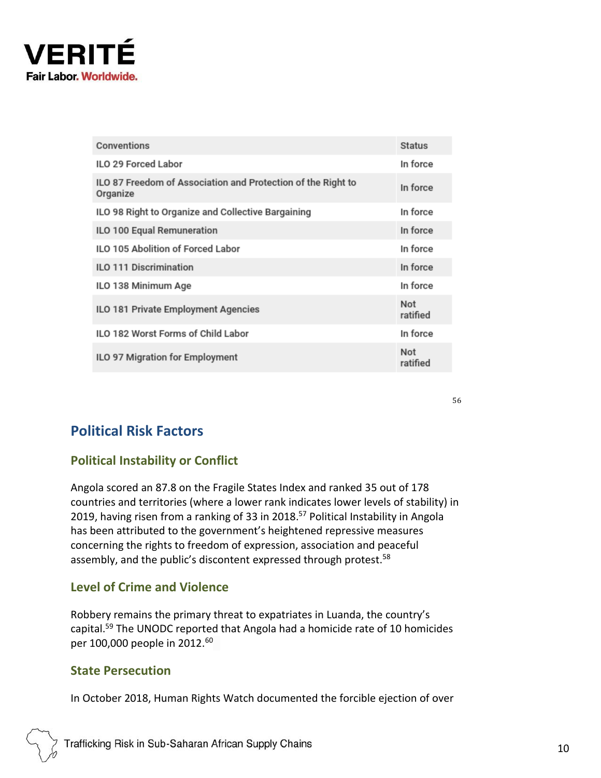

| Conventions                                                              | <b>Status</b>   |
|--------------------------------------------------------------------------|-----------------|
| ILO 29 Forced Labor                                                      | In force        |
| ILO 87 Freedom of Association and Protection of the Right to<br>Organize | In force        |
| ILO 98 Right to Organize and Collective Bargaining                       | In force        |
| ILO 100 Equal Remuneration                                               | In force        |
| ILO 105 Abolition of Forced Labor                                        | In force        |
| <b>ILO 111 Discrimination</b>                                            | In force        |
| ILO 138 Minimum Age                                                      | In force        |
| ILO 181 Private Employment Agencies                                      | Not<br>ratified |
| <b>ILO 182 Worst Forms of Child Labor</b>                                | In force        |
| ILO 97 Migration for Employment                                          | Not<br>ratified |

### **Political Risk Factors**

#### **Political Instability or Conflict**

Angola scored an 87.8 on the Fragile States Index and ranked 35 out of 178 countries and territories (where a lower rank indicates lower levels of stability) in 2019, having risen from a ranking of 33 in 2018. <sup>57</sup> Political Instability in Angola has been attributed to the government's heightened repressive measures concerning the rights to freedom of expression, association and peaceful assembly, and the public's discontent expressed through protest.<sup>58</sup>

#### **Level of Crime and Violence**

Robbery remains the primary threat to expatriates in Luanda, the country's capital.<sup>59</sup> The UNODC reported that Angola had a homicide rate of 10 homicides per 100,000 people in 2012.<sup>60</sup>

#### **State Persecution**

In October 2018, Human Rights Watch documented the forcible ejection of over

56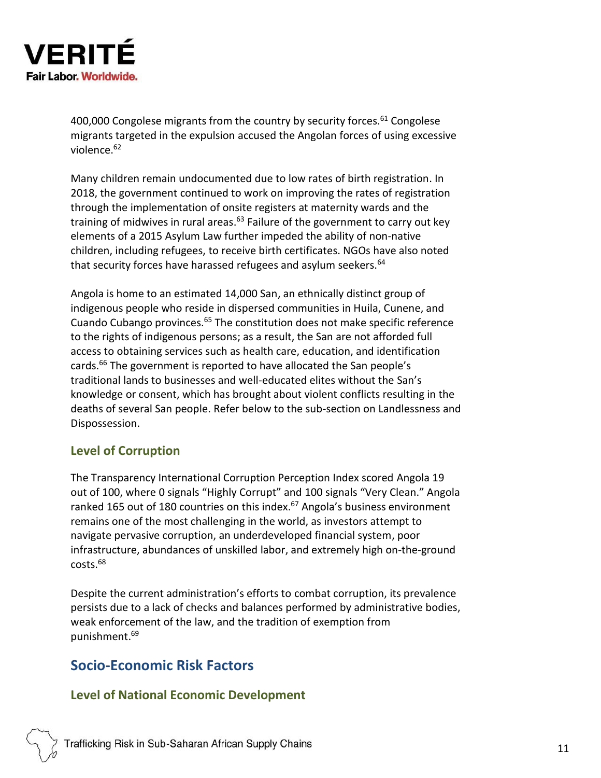

400,000 Congolese migrants from the country by security forces.<sup>61</sup> Congolese migrants targeted in the expulsion accused the Angolan forces of using excessive violence.<sup>62</sup>

Many children remain undocumented due to low rates of birth registration. In 2018, the government continued to work on improving the rates of registration through the implementation of onsite registers at maternity wards and the training of midwives in rural areas.<sup>63</sup> Failure of the government to carry out key elements of a 2015 Asylum Law further impeded the ability of non-native children, including refugees, to receive birth certificates. NGOs have also noted that security forces have harassed refugees and asylum seekers.<sup>64</sup>

Angola is home to an estimated 14,000 San, an ethnically distinct group of indigenous people who reside in dispersed communities in Huila, Cunene, and Cuando Cubango provinces.<sup>65</sup> The constitution does not make specific reference to the rights of indigenous persons; as a result, the San are not afforded full access to obtaining services such as health care, education, and identification cards.<sup>66</sup> The government is reported to have allocated the San people's traditional lands to businesses and well-educated elites without the San's knowledge or consent, which has brought about violent conflicts resulting in the deaths of several San people. Refer below to the sub-section on Landlessness and Dispossession.

#### **Level of Corruption**

The Transparency International Corruption Perception Index scored Angola 19 out of 100, where 0 signals "Highly Corrupt" and 100 signals "Very Clean." Angola ranked 165 out of 180 countries on this index.<sup>67</sup> Angola's business environment remains one of the most challenging in the world, as investors attempt to navigate pervasive corruption, an underdeveloped financial system, poor infrastructure, abundances of unskilled labor, and extremely high on-the-ground costs.<sup>68</sup>

Despite the current administration's efforts to combat corruption, its prevalence persists due to a lack of checks and balances performed by administrative bodies, weak enforcement of the law, and the tradition of exemption from punishment. 69

#### **Socio-Economic Risk Factors**

#### **Level of National Economic Development**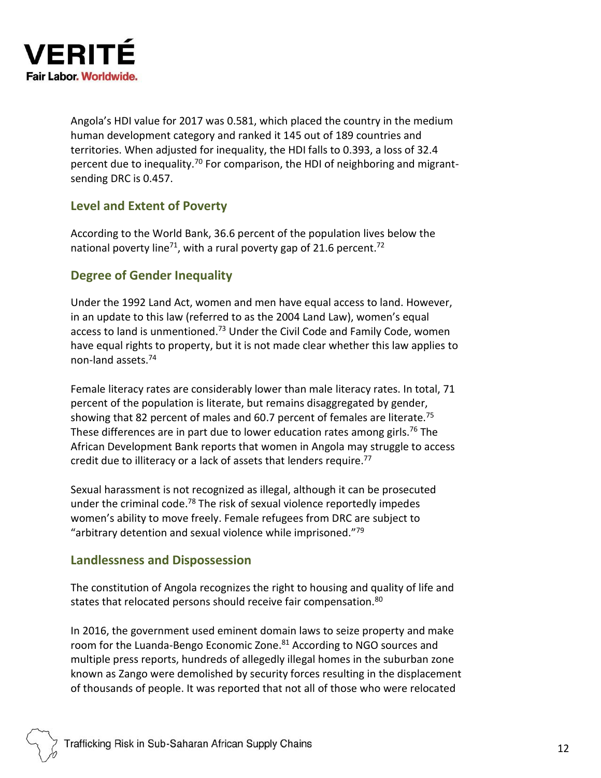

Angola's HDI value for 2017 was 0.581, which placed the country in the medium human development category and ranked it 145 out of 189 countries and territories. When adjusted for inequality, the HDI falls to 0.393, a loss of 32.4 percent due to inequality.<sup>70</sup> For comparison, the HDI of neighboring and migrantsending DRC is 0.457.

#### **Level and Extent of Poverty**

According to the World Bank, 36.6 percent of the population lives below the national poverty line<sup>71</sup>, with a rural poverty gap of 21.6 percent.<sup>72</sup>

#### **Degree of Gender Inequality**

Under the 1992 Land Act, women and men have equal access to land. However, in an update to this law (referred to as the 2004 Land Law), women's equal access to land is unmentioned.<sup>73</sup> Under the Civil Code and Family Code, women have equal rights to property, but it is not made clear whether this law applies to non-land assets.<sup>74</sup>

Female literacy rates are considerably lower than male literacy rates. In total, 71 percent of the population is literate, but remains disaggregated by gender, showing that 82 percent of males and 60.7 percent of females are literate.<sup>75</sup> These differences are in part due to lower education rates among girls.<sup>76</sup> The African Development Bank reports that women in Angola may struggle to access credit due to illiteracy or a lack of assets that lenders require.<sup>77</sup>

Sexual harassment is not recognized as illegal, although it can be prosecuted under the criminal code.<sup>78</sup> The risk of sexual violence reportedly impedes women's ability to move freely. Female refugees from DRC are subject to "arbitrary detention and sexual violence while imprisoned."<sup>79</sup>

#### **Landlessness and Dispossession**

The constitution of Angola recognizes the right to housing and quality of life and states that relocated persons should receive fair compensation.<sup>80</sup>

In 2016, the government used eminent domain laws to seize property and make room for the Luanda-Bengo Economic Zone.<sup>81</sup> According to NGO sources and multiple press reports, hundreds of allegedly illegal homes in the suburban zone known as Zango were demolished by security forces resulting in the displacement of thousands of people. It was reported that not all of those who were relocated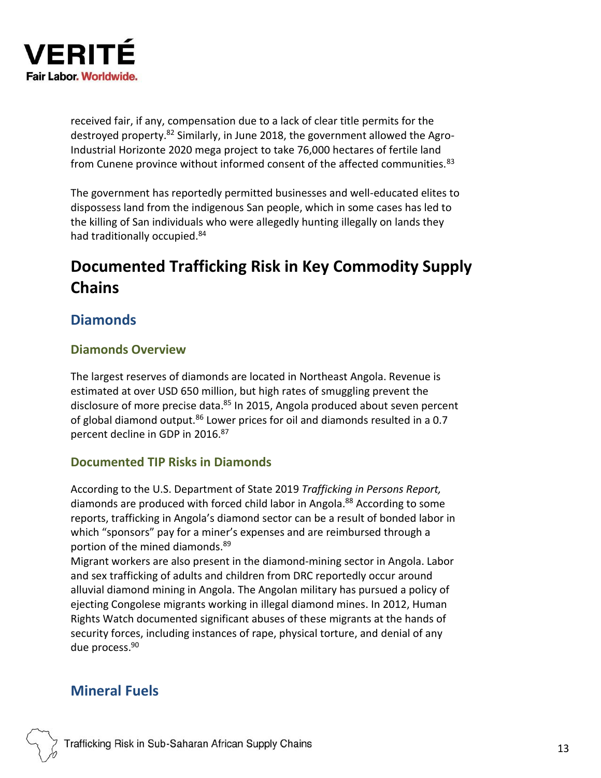

received fair, if any, compensation due to a lack of clear title permits for the destroyed property.<sup>82</sup> Similarly, in June 2018, the government allowed the Agro-Industrial Horizonte 2020 mega project to take 76,000 hectares of fertile land from Cunene province without informed consent of the affected communities.<sup>83</sup>

The government has reportedly permitted businesses and well-educated elites to dispossess land from the indigenous San people, which in some cases has led to the killing of San individuals who were allegedly hunting illegally on lands they had traditionally occupied.<sup>84</sup>

# **Documented Trafficking Risk in Key Commodity Supply Chains**

### **Diamonds**

#### **Diamonds Overview**

The largest reserves of diamonds are located in Northeast Angola. Revenue is estimated at over USD 650 million, but high rates of smuggling prevent the disclosure of more precise data. <sup>85</sup> In 2015, Angola produced about seven percent of global diamond output.<sup>86</sup> Lower prices for oil and diamonds resulted in a 0.7 percent decline in GDP in 2016.<sup>87</sup>

#### **Documented TIP Risks in Diamonds**

According to the U.S. Department of State 2019 *Trafficking in Persons Report,*  diamonds are produced with forced child labor in Angola.<sup>88</sup> According to some reports, trafficking in Angola's diamond sector can be a result of bonded labor in which "sponsors" pay for a miner's expenses and are reimbursed through a portion of the mined diamonds.<sup>89</sup>

Migrant workers are also present in the diamond-mining sector in Angola. Labor and sex trafficking of adults and children from DRC reportedly occur around alluvial diamond mining in Angola. The Angolan military has pursued a policy of ejecting Congolese migrants working in illegal diamond mines. In 2012, Human Rights Watch documented significant abuses of these migrants at the hands of security forces, including instances of rape, physical torture, and denial of any due process. 90

### **Mineral Fuels**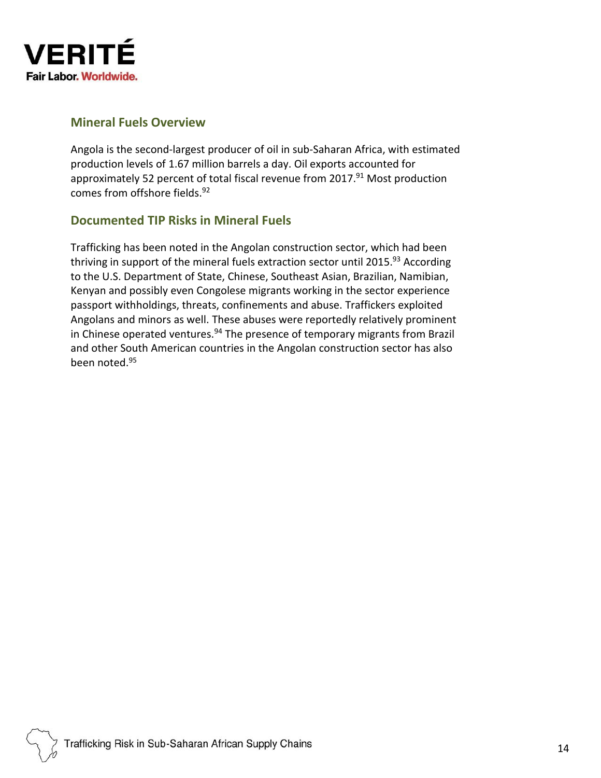

#### **Mineral Fuels Overview**

Angola is the second-largest producer of oil in sub-Saharan Africa, with estimated production levels of 1.67 million barrels a day. Oil exports accounted for approximately 52 percent of total fiscal revenue from 2017.<sup>91</sup> Most production comes from offshore fields.<sup>92</sup>

#### **Documented TIP Risks in Mineral Fuels**

Trafficking has been noted in the Angolan construction sector, which had been thriving in support of the mineral fuels extraction sector until 2015.<sup>93</sup> According to the U.S. Department of State, Chinese, Southeast Asian, Brazilian, Namibian, Kenyan and possibly even Congolese migrants working in the sector experience passport withholdings, threats, confinements and abuse. Traffickers exploited Angolans and minors as well. These abuses were reportedly relatively prominent in Chinese operated ventures.<sup>94</sup> The presence of temporary migrants from Brazil and other South American countries in the Angolan construction sector has also been noted.95

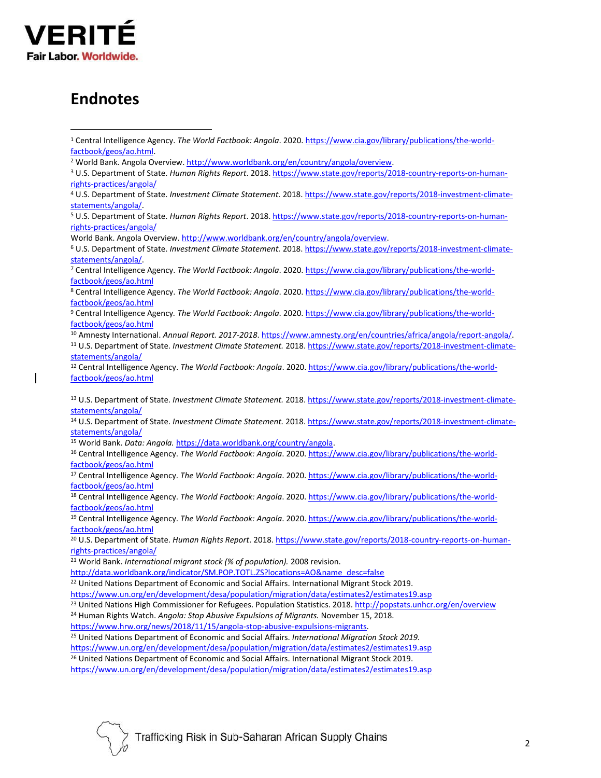

# **Endnotes**

<sup>13</sup> U.S. Department of State. *Investment Climate Statement.* 2018[. https://www.state.gov/reports/2018-investment-climate](https://www.state.gov/reports/2018-investment-climate-statements/angola/)[statements/angola/](https://www.state.gov/reports/2018-investment-climate-statements/angola/)

<sup>14</sup> U.S. Department of State. *Investment Climate Statement.* 2018[. https://www.state.gov/reports/2018-investment-climate](https://www.state.gov/reports/2018-investment-climate-statements/angola/)[statements/angola/](https://www.state.gov/reports/2018-investment-climate-statements/angola/)

<sup>15</sup> World Bank. *Data: Angola.* [https://data.worldbank.org/country/angola.](https://data.worldbank.org/country/angola)

<sup>16</sup> Central Intelligence Agency. *The World Factbook: Angola*. 2020. [https://www.cia.gov/library/publications/the-world](https://www.cia.gov/library/publications/the-world-factbook/geos/ao.html)[factbook/geos/ao.html](https://www.cia.gov/library/publications/the-world-factbook/geos/ao.html)

<sup>17</sup> Central Intelligence Agency. *The World Factbook: Angola*. 2020. [https://www.cia.gov/library/publications/the-world](https://www.cia.gov/library/publications/the-world-factbook/geos/ao.html)[factbook/geos/ao.html](https://www.cia.gov/library/publications/the-world-factbook/geos/ao.html)

<sup>18</sup> Central Intelligence Agency. *The World Factbook: Angola*. 2020. [https://www.cia.gov/library/publications/the-world](https://www.cia.gov/library/publications/the-world-factbook/geos/ao.html)[factbook/geos/ao.html](https://www.cia.gov/library/publications/the-world-factbook/geos/ao.html)

<sup>19</sup> Central Intelligence Agency. *The World Factbook: Angola*. 2020[. https://www.cia.gov/library/publications/the-world](https://www.cia.gov/library/publications/the-world-factbook/geos/ao.html)[factbook/geos/ao.html](https://www.cia.gov/library/publications/the-world-factbook/geos/ao.html)

<sup>20</sup> U.S. Department of State. *Human Rights Report*. 2018. [https://www.state.gov/reports/2018-country-reports-on-human](https://www.state.gov/reports/2018-country-reports-on-human-rights-practices/angola/)[rights-practices/angola/](https://www.state.gov/reports/2018-country-reports-on-human-rights-practices/angola/)

<sup>21</sup> World Bank. *International migrant stock (% of population).* 2008 revision.

[http://data.worldbank.org/indicator/SM.POP.TOTL.ZS?locations=AO&name\\_desc=false](http://data.worldbank.org/indicator/SM.POP.TOTL.ZS?locations=AO&name_desc=false)

<sup>22</sup> United Nations Department of Economic and Social Affairs. International Migrant Stock 2019.

<https://www.un.org/en/development/desa/population/migration/data/estimates2/estimates19.asp>

<sup>23</sup> United Nations High Commissioner for Refugees. Population Statistics. 2018[. http://popstats.unhcr.org/en/overview](http://popstats.unhcr.org/en/overview)

<sup>24</sup> Human Rights Watch. *Angola: Stop Abusive Expulsions of Migrants.* November 15, 2018.

[https://www.hrw.org/news/2018/11/15/angola-stop-abusive-expulsions-migrants.](https://www.hrw.org/news/2018/11/15/angola-stop-abusive-expulsions-migrants)

<sup>25</sup> United Nations Department of Economic and Social Affairs. *International Migration Stock 2019.* 

<https://www.un.org/en/development/desa/population/migration/data/estimates2/estimates19.asp>

<sup>26</sup> United Nations Department of Economic and Social Affairs. International Migrant Stock 2019.

<https://www.un.org/en/development/desa/population/migration/data/estimates2/estimates19.asp>

<sup>1</sup> Central Intelligence Agency. *The World Factbook: Angola*. 2020[. https://www.cia.gov/library/publications/the-world](https://www.cia.gov/library/publications/the-world-factbook/geos/ao.html)[factbook/geos/ao.html.](https://www.cia.gov/library/publications/the-world-factbook/geos/ao.html)

<sup>&</sup>lt;sup>2</sup> World Bank. Angola Overview[. http://www.worldbank.org/en/country/angola/overview.](http://www.worldbank.org/en/country/angola/overview)

<sup>3</sup> U.S. Department of State. *Human Rights Report*. 2018. [https://www.state.gov/reports/2018-country-reports-on-human](https://www.state.gov/reports/2018-country-reports-on-human-rights-practices/angola/)[rights-practices/angola/](https://www.state.gov/reports/2018-country-reports-on-human-rights-practices/angola/)

<sup>4</sup> U.S. Department of State. *Investment Climate Statement.* 2018. [https://www.state.gov/reports/2018-investment-climate](https://www.state.gov/reports/2018-investment-climate-statements/angola/)[statements/angola/.](https://www.state.gov/reports/2018-investment-climate-statements/angola/)

<sup>5</sup> U.S. Department of State. *Human Rights Report*. 2018. [https://www.state.gov/reports/2018-country-reports-on-human](https://www.state.gov/reports/2018-country-reports-on-human-rights-practices/angola/)[rights-practices/angola/](https://www.state.gov/reports/2018-country-reports-on-human-rights-practices/angola/)

World Bank. Angola Overview[. http://www.worldbank.org/en/country/angola/overview.](http://www.worldbank.org/en/country/angola/overview)

<sup>6</sup> U.S. Department of State. *Investment Climate Statement.* 2018[. https://www.state.gov/reports/2018-investment-climate](https://www.state.gov/reports/2018-investment-climate-statements/angola/)[statements/angola/.](https://www.state.gov/reports/2018-investment-climate-statements/angola/)

<sup>7</sup> Central Intelligence Agency. *The World Factbook: Angola*. 2020[. https://www.cia.gov/library/publications/the-world](https://www.cia.gov/library/publications/the-world-factbook/geos/ao.html)[factbook/geos/ao.html](https://www.cia.gov/library/publications/the-world-factbook/geos/ao.html)

<sup>8</sup> Central Intelligence Agency. *The World Factbook: Angola*. 2020[. https://www.cia.gov/library/publications/the-world](https://www.cia.gov/library/publications/the-world-factbook/geos/ao.html)[factbook/geos/ao.html](https://www.cia.gov/library/publications/the-world-factbook/geos/ao.html)

<sup>9</sup> Central Intelligence Agency*. The World Factbook: Angola*. 2020[. https://www.cia.gov/library/publications/the-world](https://www.cia.gov/library/publications/the-world-factbook/geos/ao.html)[factbook/geos/ao.html](https://www.cia.gov/library/publications/the-world-factbook/geos/ao.html)

<sup>10</sup> Amnesty International. *Annual Report. 2017-2018*[. https://www.amnesty.org/en/countries/africa/angola/report-angola/.](https://www.amnesty.org/en/countries/africa/angola/report-angola/) <sup>11</sup> U.S. Department of State. *Investment Climate Statement.* 2018. [https://www.state.gov/reports/2018-investment-climate](https://www.state.gov/reports/2018-investment-climate-statements/angola/)[statements/angola/](https://www.state.gov/reports/2018-investment-climate-statements/angola/)

<sup>12</sup> Central Intelligence Agency. *The World Factbook: Angola*. 2020[. https://www.cia.gov/library/publications/the-world](https://www.cia.gov/library/publications/the-world-factbook/geos/ao.html)[factbook/geos/ao.html](https://www.cia.gov/library/publications/the-world-factbook/geos/ao.html)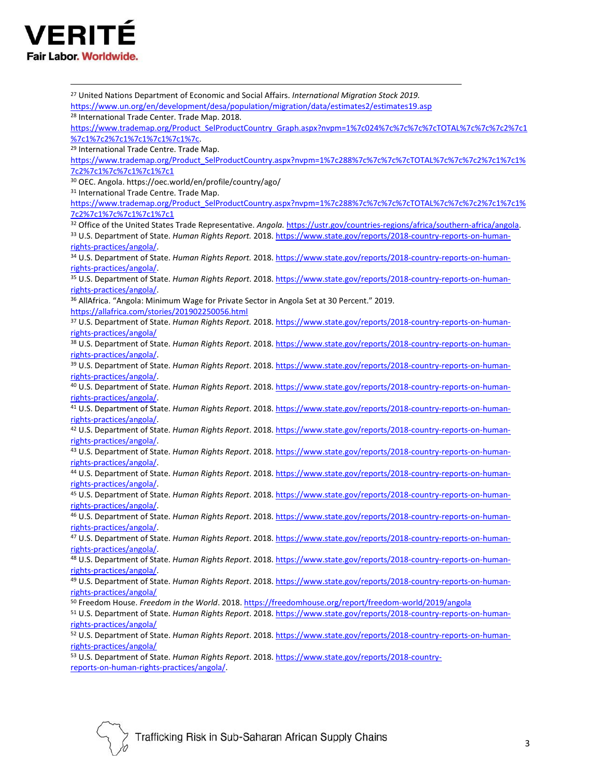

<sup>27</sup> United Nations Department of Economic and Social Affairs. *International Migration Stock 2019.*  <https://www.un.org/en/development/desa/population/migration/data/estimates2/estimates19.asp> <sup>28</sup> International Trade Center. Trade Map. 2018. https://www.trademap.org/Product\_SelProductCountry\_Graph.aspx?nvpm=1%7c024%7c%7c%7c%7c%7cTOTAL%7c%7c2%7c1 [%7c1%7c2%7c1%7c1%7c1%7c1%7c.](https://www.trademap.org/Product_SelProductCountry_Graph.aspx?nvpm=1%7c024%7c%7c%7c%7cTOTAL%7c%7c%7c2%7c1%7c1%7c2%7c1%7c1%7c1%7c1%7c) <sup>29</sup> International Trade Centre. Trade Map. [https://www.trademap.org/Product\\_SelProductCountry.aspx?nvpm=1%7c288%7c%7c%7c%7cTOTAL%7c%7c%7c2%7c1%7c1%](https://www.trademap.org/Product_SelProductCountry.aspx?nvpm=1%7c288%7c%7c%7c%7cTOTAL%7c%7c%7c2%7c1%7c1%7c2%7c1%7c%7c1%7c1%7c1) [7c2%7c1%7c%7c1%7c1%7c1](https://www.trademap.org/Product_SelProductCountry.aspx?nvpm=1%7c288%7c%7c%7c%7cTOTAL%7c%7c%7c2%7c1%7c1%7c2%7c1%7c%7c1%7c1%7c1) <sup>30</sup> OEC. Angola. https://oec.world/en/profile/country/ago/ 31 International Trade Centre. Trade Map. [https://www.trademap.org/Product\\_SelProductCountry.aspx?nvpm=1%7c288%7c%7c%7c%7cTOTAL%7c%7c%7c2%7c1%7c1%](https://www.trademap.org/Product_SelProductCountry.aspx?nvpm=1%7c288%7c%7c%7c%7cTOTAL%7c%7c%7c2%7c1%7c1%7c2%7c1%7c%7c1%7c1%7c1) [7c2%7c1%7c%7c1%7c1%7c1](https://www.trademap.org/Product_SelProductCountry.aspx?nvpm=1%7c288%7c%7c%7c%7cTOTAL%7c%7c%7c2%7c1%7c1%7c2%7c1%7c%7c1%7c1%7c1) <sup>32</sup> Office of the United States Trade Representative. *Angola.* [https://ustr.gov/countries-regions/africa/southern-africa/angola.](https://ustr.gov/countries-regions/africa/southern-africa/angola) <sup>33</sup> U.S. Department of State. *Human Rights Report.* 2018. [https://www.state.gov/reports/2018-country-reports-on-human](https://www.state.gov/reports/2018-country-reports-on-human-rights-practices/angola/)[rights-practices/angola/.](https://www.state.gov/reports/2018-country-reports-on-human-rights-practices/angola/) <sup>34</sup> U.S. Department of State. *Human Rights Report.* 2018. [https://www.state.gov/reports/2018-country-reports-on-human](https://www.state.gov/reports/2018-country-reports-on-human-rights-practices/angola/)[rights-practices/angola/.](https://www.state.gov/reports/2018-country-reports-on-human-rights-practices/angola/) <sup>35</sup> U.S. Department of State. *Human Rights Report*. 2018. [https://www.state.gov/reports/2018-country-reports-on-human](https://www.state.gov/reports/2018-country-reports-on-human-rights-practices/angola/)[rights-practices/angola/.](https://www.state.gov/reports/2018-country-reports-on-human-rights-practices/angola/) <sup>36</sup> AllAfrica. "Angola: Minimum Wage for Private Sector in Angola Set at 30 Percent." 2019. <https://allafrica.com/stories/201902250056.html> <sup>37</sup> U.S. Department of State. *Human Rights Report.* 2018. [https://www.state.gov/reports/2018-country-reports-on-human](https://www.state.gov/reports/2018-country-reports-on-human-rights-practices/angola/)[rights-practices/angola/](https://www.state.gov/reports/2018-country-reports-on-human-rights-practices/angola/) <sup>38</sup> U.S. Department of State. *Human Rights Report*. 2018. [https://www.state.gov/reports/2018-country-reports-on-human](https://www.state.gov/reports/2018-country-reports-on-human-rights-practices/angola/)[rights-practices/angola/.](https://www.state.gov/reports/2018-country-reports-on-human-rights-practices/angola/) <sup>39</sup> U.S. Department of State. *Human Rights Report*. 2018. [https://www.state.gov/reports/2018-country-reports-on-human](https://www.state.gov/reports/2018-country-reports-on-human-rights-practices/angola/)[rights-practices/angola/.](https://www.state.gov/reports/2018-country-reports-on-human-rights-practices/angola/) <sup>40</sup> U.S. Department of State. *Human Rights Report*. 2018. [https://www.state.gov/reports/2018-country-reports-on-human](https://www.state.gov/reports/2018-country-reports-on-human-rights-practices/angola/)[rights-practices/angola/.](https://www.state.gov/reports/2018-country-reports-on-human-rights-practices/angola/) <sup>41</sup> U.S. Department of State. *Human Rights Report*. 2018. [https://www.state.gov/reports/2018-country-reports-on-human](https://www.state.gov/reports/2018-country-reports-on-human-rights-practices/angola/)[rights-practices/angola/.](https://www.state.gov/reports/2018-country-reports-on-human-rights-practices/angola/) <sup>42</sup> U.S. Department of State. *Human Rights Report*. 2018. [https://www.state.gov/reports/2018-country-reports-on-human](https://www.state.gov/reports/2018-country-reports-on-human-rights-practices/angola/)[rights-practices/angola/.](https://www.state.gov/reports/2018-country-reports-on-human-rights-practices/angola/) <sup>43</sup> U.S. Department of State. *Human Rights Report*. 2018. [https://www.state.gov/reports/2018-country-reports-on-human](https://www.state.gov/reports/2018-country-reports-on-human-rights-practices/angola/)[rights-practices/angola/.](https://www.state.gov/reports/2018-country-reports-on-human-rights-practices/angola/) <sup>44</sup> U.S. Department of State. *Human Rights Report*. 2018. [https://www.state.gov/reports/2018-country-reports-on-human](https://www.state.gov/reports/2018-country-reports-on-human-rights-practices/angola/)[rights-practices/angola/.](https://www.state.gov/reports/2018-country-reports-on-human-rights-practices/angola/) <sup>45</sup> U.S. Department of State. *Human Rights Report*. 2018. [https://www.state.gov/reports/2018-country-reports-on-human](https://www.state.gov/reports/2018-country-reports-on-human-rights-practices/angola/)[rights-practices/angola/.](https://www.state.gov/reports/2018-country-reports-on-human-rights-practices/angola/) <sup>46</sup> U.S. Department of State. *Human Rights Report*. 2018. [https://www.state.gov/reports/2018-country-reports-on-human](https://www.state.gov/reports/2018-country-reports-on-human-rights-practices/angola/)[rights-practices/angola/.](https://www.state.gov/reports/2018-country-reports-on-human-rights-practices/angola/) <sup>47</sup> U.S. Department of State. *Human Rights Report*. 2018. [https://www.state.gov/reports/2018-country-reports-on-human](https://www.state.gov/reports/2018-country-reports-on-human-rights-practices/angola/)[rights-practices/angola/.](https://www.state.gov/reports/2018-country-reports-on-human-rights-practices/angola/) <sup>48</sup> U.S. Department of State. *Human Rights Report*. 2018. [https://www.state.gov/reports/2018-country-reports-on-human](https://www.state.gov/reports/2018-country-reports-on-human-rights-practices/angola/)[rights-practices/angola/.](https://www.state.gov/reports/2018-country-reports-on-human-rights-practices/angola/) <sup>49</sup> U.S. Department of State. *Human Rights Report*. 2018. [https://www.state.gov/reports/2018-country-reports-on-human](https://www.state.gov/reports/2018-country-reports-on-human-rights-practices/angola/)[rights-practices/angola/](https://www.state.gov/reports/2018-country-reports-on-human-rights-practices/angola/) <sup>50</sup> Freedom House. *Freedom in the World*. 2018. <https://freedomhouse.org/report/freedom-world/2019/angola> <sup>51</sup> U.S. Department of State. *Human Rights Report*. 2018. [https://www.state.gov/reports/2018-country-reports-on-human](https://www.state.gov/reports/2018-country-reports-on-human-rights-practices/angola/)[rights-practices/angola/](https://www.state.gov/reports/2018-country-reports-on-human-rights-practices/angola/) <sup>52</sup> U.S. Department of State. *Human Rights Report*. 2018. [https://www.state.gov/reports/2018-country-reports-on-human](https://www.state.gov/reports/2018-country-reports-on-human-rights-practices/angola/)[rights-practices/angola/](https://www.state.gov/reports/2018-country-reports-on-human-rights-practices/angola/) <sup>53</sup> U.S. Department of State. *Human Rights Report*. 2018. [https://www.state.gov/reports/2018-country](https://www.state.gov/reports/2018-country-reports-on-human-rights-practices/angola/)[reports-on-human-rights-practices/angola/.](https://www.state.gov/reports/2018-country-reports-on-human-rights-practices/angola/)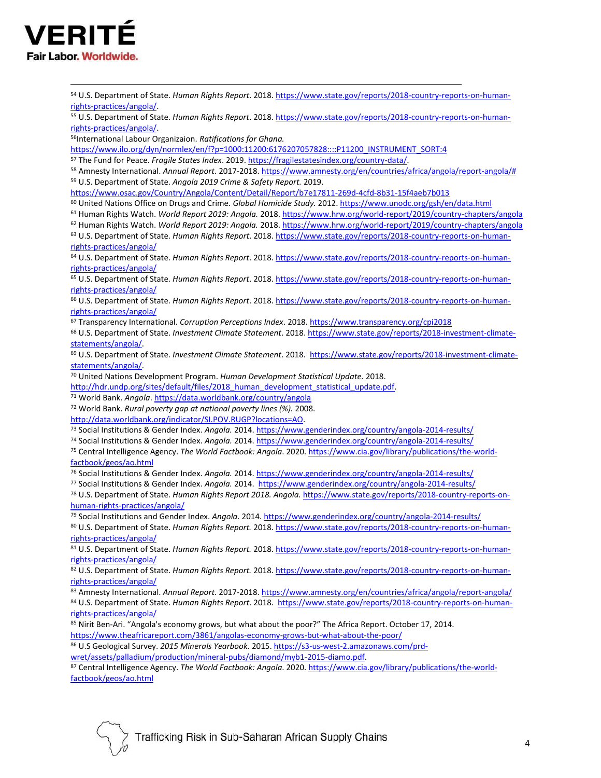

 U.S. Department of State. *Human Rights Report*. 2018. [https://www.state.gov/reports/2018-country-reports-on-human](https://www.state.gov/reports/2018-country-reports-on-human-rights-practices/angola/)[rights-practices/angola/.](https://www.state.gov/reports/2018-country-reports-on-human-rights-practices/angola/) U.S. Department of State. *Human Rights Report*. 2018. [https://www.state.gov/reports/2018-country-reports-on-human](https://www.state.gov/reports/2018-country-reports-on-human-rights-practices/angola/)[rights-practices/angola/.](https://www.state.gov/reports/2018-country-reports-on-human-rights-practices/angola/) International Labour Organizaion. *Ratifications for Ghana.* [https://www.ilo.org/dyn/normlex/en/f?p=1000:11200:6176207057828::::P11200\\_INSTRUMENT\\_SORT:4](https://www.ilo.org/dyn/normlex/en/f?p=1000:11200:6176207057828::::P11200_INSTRUMENT_SORT:4) The Fund for Peace. *Fragile States Index*. 2019. [https://fragilestatesindex.org/country-data/.](https://fragilestatesindex.org/country-data/)  Amnesty International. *Annual Report*. 2017-2018[. https://www.amnesty.org/en/countries/africa/angola/report-angola/#](https://www.amnesty.org/en/countries/africa/angola/report-angola/) U.S. Department of State. *Angola 2019 Crime & Safety Report.* 2019. <https://www.osac.gov/Country/Angola/Content/Detail/Report/b7e17811-269d-4cfd-8b31-15f4aeb7b013> United Nations Office on Drugs and Crime. *Global Homicide Study.* 2012[. https://www.unodc.org/gsh/en/data.html](https://www.unodc.org/gsh/en/data.html) Human Rights Watch. *World Report 2019: Angola.* 2018. <https://www.hrw.org/world-report/2019/country-chapters/angola> Human Rights Watch. *World Report 2019: Angola.* 2018. <https://www.hrw.org/world-report/2019/country-chapters/angola> U.S. Department of State. *Human Rights Report*. 2018. [https://www.state.gov/reports/2018-country-reports-on-human](https://www.state.gov/reports/2018-country-reports-on-human-rights-practices/angola/)[rights-practices/angola/](https://www.state.gov/reports/2018-country-reports-on-human-rights-practices/angola/) U.S. Department of State. *Human Rights Report*. 2018. [https://www.state.gov/reports/2018-country-reports-on-human](https://www.state.gov/reports/2018-country-reports-on-human-rights-practices/angola/)[rights-practices/angola/](https://www.state.gov/reports/2018-country-reports-on-human-rights-practices/angola/) U.S. Department of State. *Human Rights Report*. 2018. [https://www.state.gov/reports/2018-country-reports-on-human](https://www.state.gov/reports/2018-country-reports-on-human-rights-practices/angola/)[rights-practices/angola/](https://www.state.gov/reports/2018-country-reports-on-human-rights-practices/angola/) U.S. Department of State. *Human Rights Report*. 2018. [https://www.state.gov/reports/2018-country-reports-on-human](https://www.state.gov/reports/2018-country-reports-on-human-rights-practices/angola/)[rights-practices/angola/](https://www.state.gov/reports/2018-country-reports-on-human-rights-practices/angola/) Transparency International. *Corruption Perceptions Index*. 2018[. https://www.transparency.org/cpi2018](https://www.transparency.org/cpi2018) U.S. Department of State. *Investment Climate Statement*. 2018[. https://www.state.gov/reports/2018-investment-climate](https://www.state.gov/reports/2018-investment-climate-statements/angola/)[statements/angola/.](https://www.state.gov/reports/2018-investment-climate-statements/angola/)  U.S. Department of State. *Investment Climate Statement*. 2018. [https://www.state.gov/reports/2018-investment-climate](https://www.state.gov/reports/2018-investment-climate-statements/angola/)[statements/angola/.](https://www.state.gov/reports/2018-investment-climate-statements/angola/)  United Nations Development Program. *Human Development Statistical Update.* 2018. http://hdr.undp.org/sites/default/files/2018 human\_development\_statistical\_update.pdf. World Bank. *Angola*[. https://data.worldbank.org/country/angola](https://data.worldbank.org/country/angola) World Bank. *Rural poverty gap at national poverty lines (%).* 2008. [http://data.worldbank.org/indicator/SI.POV.RUGP?locations=AO.](http://data.worldbank.org/indicator/SI.POV.RUGP?locations=AO) Social Institutions & Gender Index. *Angola.* 2014[. https://www.genderindex.org/country/angola-2014-results/](https://www.genderindex.org/country/angola-2014-results/) Social Institutions & Gender Index. *Angola.* 2014. <https://www.genderindex.org/country/angola-2014-results/> Central Intelligence Agency. *The World Factbook: Angola*. 2020[. https://www.cia.gov/library/publications/the-world](https://www.cia.gov/library/publications/the-world-factbook/geos/ao.html)[factbook/geos/ao.html](https://www.cia.gov/library/publications/the-world-factbook/geos/ao.html) Social Institutions & Gender Index. *Angola.* 2014. <https://www.genderindex.org/country/angola-2014-results/> Social Institutions & Gender Index. *Angola.* 2014.<https://www.genderindex.org/country/angola-2014-results/> U.S. Department of State. *Human Rights Report 2018. Angola.* [https://www.state.gov/reports/2018-country-reports-on](https://www.state.gov/reports/2018-country-reports-on-human-rights-practices/angola/)[human-rights-practices/angola/](https://www.state.gov/reports/2018-country-reports-on-human-rights-practices/angola/) Social Institutions and Gender Index. *Angola.* 2014. <https://www.genderindex.org/country/angola-2014-results/> U.S. Department of State. *Human Rights Report.* 2018. [https://www.state.gov/reports/2018-country-reports-on-human](https://www.state.gov/reports/2018-country-reports-on-human-rights-practices/angola/)[rights-practices/angola/](https://www.state.gov/reports/2018-country-reports-on-human-rights-practices/angola/) U.S. Department of State. *Human Rights Report.* 2018. [https://www.state.gov/reports/2018-country-reports-on-human](https://www.state.gov/reports/2018-country-reports-on-human-rights-practices/angola/)[rights-practices/angola/](https://www.state.gov/reports/2018-country-reports-on-human-rights-practices/angola/) U.S. Department of State. *Human Rights Report.* 2018. [https://www.state.gov/reports/2018-country-reports-on-human](https://www.state.gov/reports/2018-country-reports-on-human-rights-practices/angola/)[rights-practices/angola/](https://www.state.gov/reports/2018-country-reports-on-human-rights-practices/angola/) Amnesty International. *Annual Report*. 2017-2018. <https://www.amnesty.org/en/countries/africa/angola/report-angola/> U.S. Department of State. *Human Rights Report*. 2018. [https://www.state.gov/reports/2018-country-reports-on-human](https://www.state.gov/reports/2018-country-reports-on-human-rights-practices/angola/)[rights-practices/angola/](https://www.state.gov/reports/2018-country-reports-on-human-rights-practices/angola/) Nirit Ben-Ari. "Angola's economy grows, but what about the poor?" The Africa Report. October 17, 2014. <https://www.theafricareport.com/3861/angolas-economy-grows-but-what-about-the-poor/> U.S Geological Survey. *2015 Minerals Yearbook.* 2015. [https://s3-us-west-2.amazonaws.com/prd](https://s3-us-west-2.amazonaws.com/prd-wret/assets/palladium/production/mineral-pubs/diamond/myb1-2015-diamo.pdf)[wret/assets/palladium/production/mineral-pubs/diamond/myb1-2015-diamo.pdf.](https://s3-us-west-2.amazonaws.com/prd-wret/assets/palladium/production/mineral-pubs/diamond/myb1-2015-diamo.pdf) Central Intelligence Agency. *The World Factbook: Angola*. 2020. [https://www.cia.gov/library/publications/the-world](https://www.cia.gov/library/publications/the-world-factbook/geos/ao.html)[factbook/geos/ao.html](https://www.cia.gov/library/publications/the-world-factbook/geos/ao.html)

Trafficking Risk in Sub-Saharan African Supply Chains